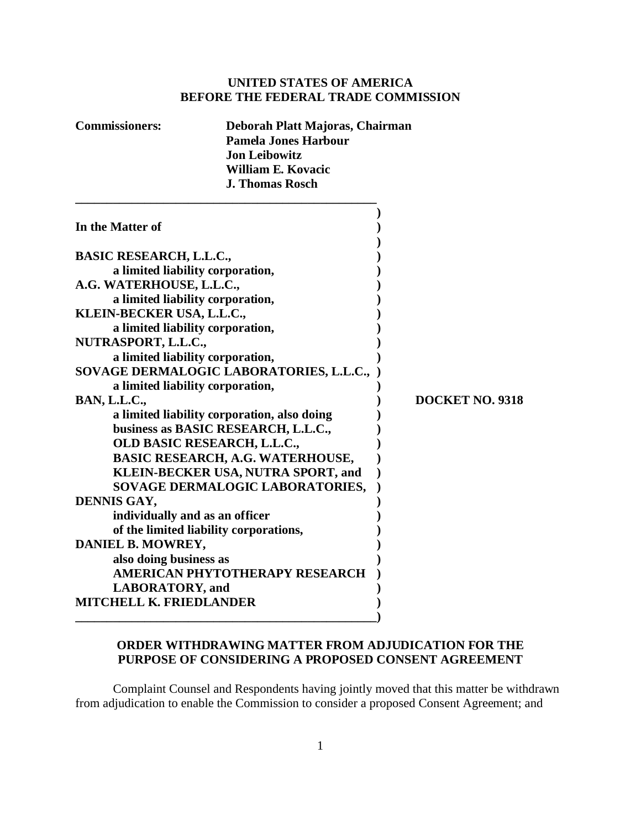## **UNITED STATES OF AMERICA BEFORE THE FEDERAL TRADE COMMISSION**

**Commissioners: Deborah Platt Majoras, Chairman**

|                                                                                    | coor an 1 iait 1914, orași Chan în<br><b>Pamela Jones Harbour</b><br><b>Jon Leibowitz</b><br><b>William E. Kovacic</b><br><b>J. Thomas Rosch</b> |                 |
|------------------------------------------------------------------------------------|--------------------------------------------------------------------------------------------------------------------------------------------------|-----------------|
| In the Matter of                                                                   |                                                                                                                                                  |                 |
| <b>BASIC RESEARCH, L.L.C.,</b>                                                     |                                                                                                                                                  |                 |
| a limited liability corporation,                                                   |                                                                                                                                                  |                 |
| A.G. WATERHOUSE, L.L.C.,                                                           |                                                                                                                                                  |                 |
|                                                                                    | a limited liability corporation,                                                                                                                 |                 |
| KLEIN-BECKER USA, L.L.C.,                                                          |                                                                                                                                                  |                 |
|                                                                                    | a limited liability corporation,                                                                                                                 |                 |
| <b>NUTRASPORT, L.L.C.,</b>                                                         |                                                                                                                                                  |                 |
|                                                                                    | a limited liability corporation,                                                                                                                 |                 |
|                                                                                    | SOVAGE DERMALOGIC LABORATORIES, L.L.C.,                                                                                                          |                 |
|                                                                                    | a limited liability corporation,                                                                                                                 | DOCKET NO. 9318 |
| <b>BAN, L.L.C.,</b>                                                                |                                                                                                                                                  |                 |
| a limited liability corporation, also doing<br>business as BASIC RESEARCH, L.L.C., |                                                                                                                                                  |                 |
|                                                                                    | OLD BASIC RESEARCH, L.L.C.,                                                                                                                      |                 |
|                                                                                    |                                                                                                                                                  |                 |
| BASIC RESEARCH, A.G. WATERHOUSE,<br>KLEIN-BECKER USA, NUTRA SPORT, and             |                                                                                                                                                  |                 |
|                                                                                    | SOVAGE DERMALOGIC LABORATORIES,                                                                                                                  |                 |
| <b>DENNIS GAY,</b>                                                                 |                                                                                                                                                  |                 |
| individually and as an officer                                                     |                                                                                                                                                  |                 |
|                                                                                    | of the limited liability corporations,                                                                                                           |                 |
| <b>DANIEL B. MOWREY,</b>                                                           |                                                                                                                                                  |                 |
| also doing business as                                                             |                                                                                                                                                  |                 |
|                                                                                    | AMERICAN PHYTOTHERAPY RESEARCH                                                                                                                   |                 |
| <b>LABORATORY</b> , and                                                            |                                                                                                                                                  |                 |
| <b>MITCHELL K. FRIEDLANDER</b>                                                     |                                                                                                                                                  |                 |
|                                                                                    |                                                                                                                                                  |                 |
|                                                                                    |                                                                                                                                                  |                 |

## **ORDER WITHDRAWING MATTER FROM ADJUDICATION FOR THE PURPOSE OF CONSIDERING A PROPOSED CONSENT AGREEMENT**

Complaint Counsel and Respondents having jointly moved that this matter be withdrawn from adjudication to enable the Commission to consider a proposed Consent Agreement; and